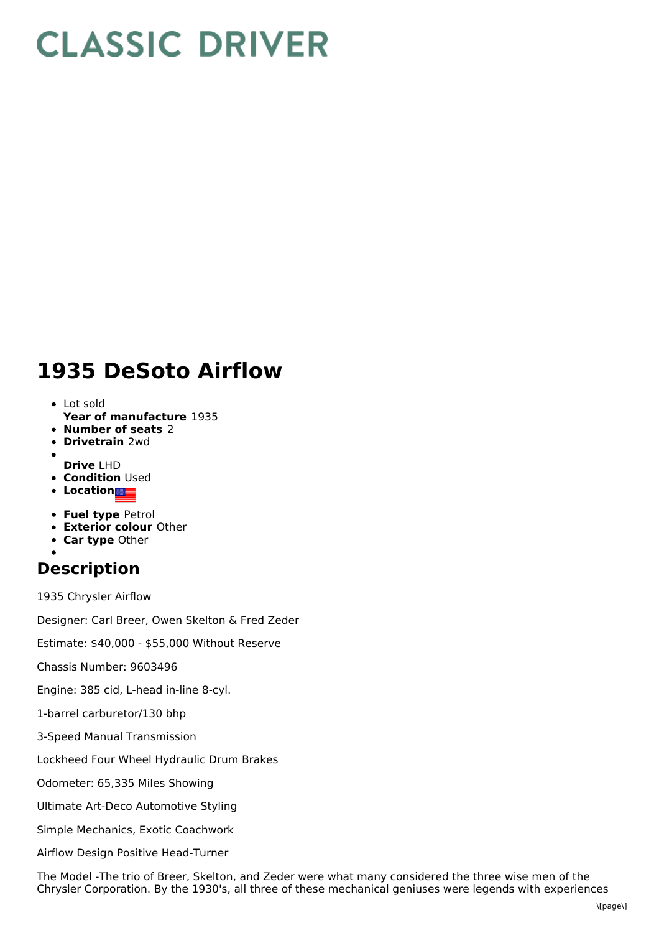## **CLASSIC DRIVER**

## **1935 DeSoto Airflow**

- **Year of manufacture** 1935 Lot sold
- **Number of seats** 2
- **Drivetrain** 2wd
- **Drive** LHD
- **Condition Used**
- **Location**
- **Fuel type** Petrol
- **Exterior colour** Other
- **Car type** Other
- 

## **Description**

1935 Chrysler Airflow

Designer: Carl Breer, Owen Skelton & Fred Zeder

Estimate: \$40,000 - \$55,000 Without Reserve

Chassis Number: 9603496

Engine: 385 cid, L-head in-line 8-cyl.

- 1-barrel carburetor/130 bhp
- 3-Speed Manual Transmission

Lockheed Four Wheel Hydraulic Drum Brakes

Odometer: 65,335 Miles Showing

Ultimate Art-Deco Automotive Styling

Simple Mechanics, Exotic Coachwork

Airflow Design Positive Head-Turner

The Model -The trio of Breer, Skelton, and Zeder were what many considered the three wise men of the Chrysler Corporation. By the 1930's, all three of these mechanical geniuses were legends with experiences